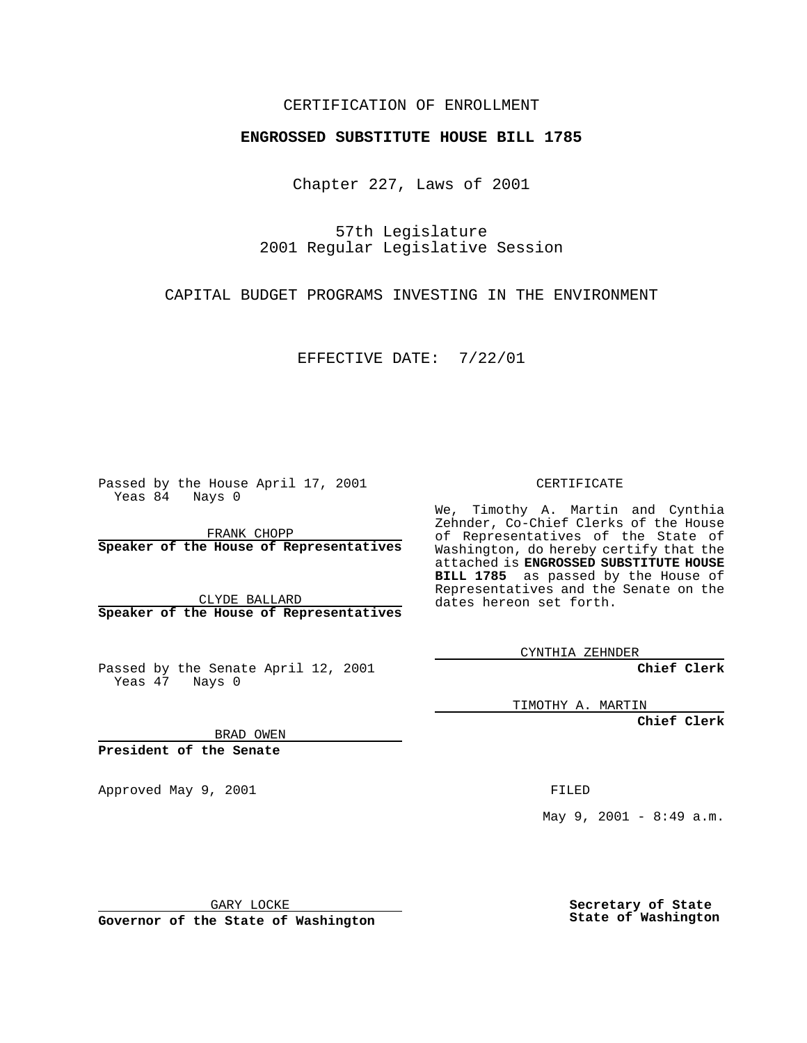### CERTIFICATION OF ENROLLMENT

# **ENGROSSED SUBSTITUTE HOUSE BILL 1785**

Chapter 227, Laws of 2001

57th Legislature 2001 Regular Legislative Session

CAPITAL BUDGET PROGRAMS INVESTING IN THE ENVIRONMENT

EFFECTIVE DATE: 7/22/01

Passed by the House April 17, 2001 Yeas 84 Nays 0

FRANK CHOPP **Speaker of the House of Representatives**

CLYDE BALLARD **Speaker of the House of Representatives**

Passed by the Senate April 12, 2001 Yeas 47 Nays 0

CERTIFICATE

We, Timothy A. Martin and Cynthia Zehnder, Co-Chief Clerks of the House of Representatives of the State of Washington, do hereby certify that the attached is **ENGROSSED SUBSTITUTE HOUSE BILL 1785** as passed by the House of Representatives and the Senate on the dates hereon set forth.

CYNTHIA ZEHNDER

**Chief Clerk**

TIMOTHY A. MARTIN

**Chief Clerk**

BRAD OWEN

**President of the Senate**

Approved May 9, 2001 and the state of the FILED

May 9, 2001 - 8:49  $a.m.$ 

GARY LOCKE

**Governor of the State of Washington**

**Secretary of State State of Washington**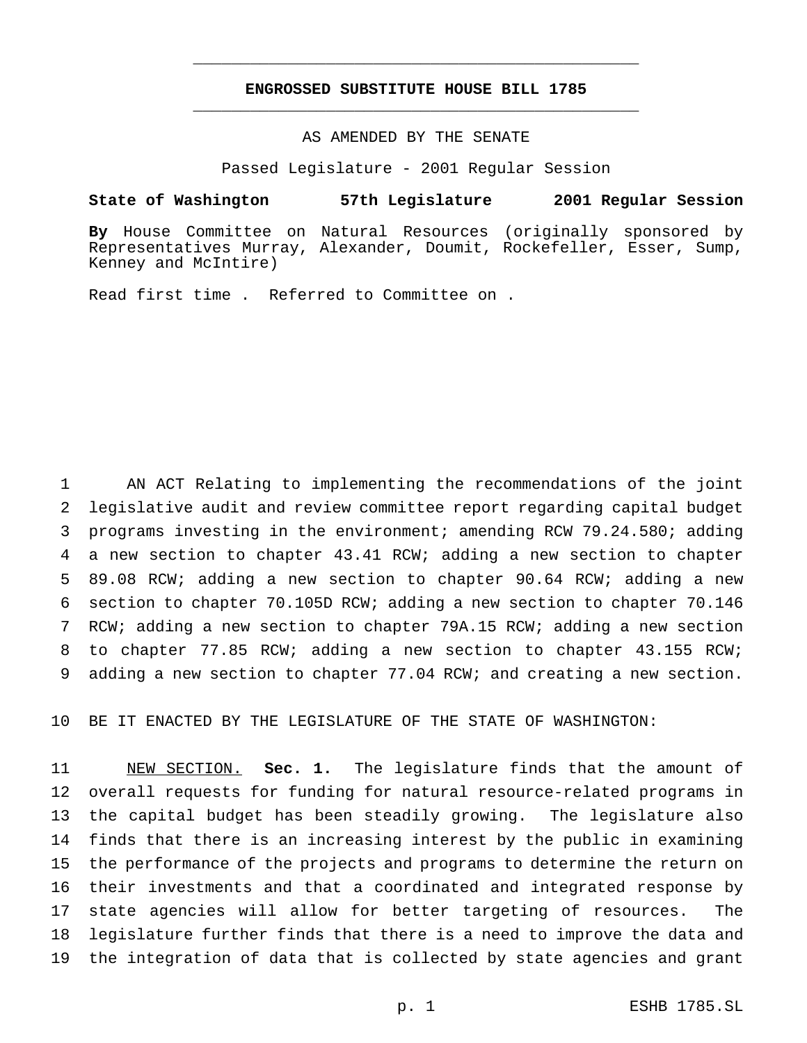# **ENGROSSED SUBSTITUTE HOUSE BILL 1785** \_\_\_\_\_\_\_\_\_\_\_\_\_\_\_\_\_\_\_\_\_\_\_\_\_\_\_\_\_\_\_\_\_\_\_\_\_\_\_\_\_\_\_\_\_\_\_

\_\_\_\_\_\_\_\_\_\_\_\_\_\_\_\_\_\_\_\_\_\_\_\_\_\_\_\_\_\_\_\_\_\_\_\_\_\_\_\_\_\_\_\_\_\_\_

#### AS AMENDED BY THE SENATE

Passed Legislature - 2001 Regular Session

#### **State of Washington 57th Legislature 2001 Regular Session**

**By** House Committee on Natural Resources (originally sponsored by Representatives Murray, Alexander, Doumit, Rockefeller, Esser, Sump, Kenney and McIntire)

Read first time . Referred to Committee on .

 AN ACT Relating to implementing the recommendations of the joint legislative audit and review committee report regarding capital budget programs investing in the environment; amending RCW 79.24.580; adding a new section to chapter 43.41 RCW; adding a new section to chapter 89.08 RCW; adding a new section to chapter 90.64 RCW; adding a new section to chapter 70.105D RCW; adding a new section to chapter 70.146 RCW; adding a new section to chapter 79A.15 RCW; adding a new section to chapter 77.85 RCW; adding a new section to chapter 43.155 RCW; adding a new section to chapter 77.04 RCW; and creating a new section.

BE IT ENACTED BY THE LEGISLATURE OF THE STATE OF WASHINGTON:

 NEW SECTION. **Sec. 1.** The legislature finds that the amount of overall requests for funding for natural resource-related programs in the capital budget has been steadily growing. The legislature also finds that there is an increasing interest by the public in examining the performance of the projects and programs to determine the return on their investments and that a coordinated and integrated response by state agencies will allow for better targeting of resources. The legislature further finds that there is a need to improve the data and the integration of data that is collected by state agencies and grant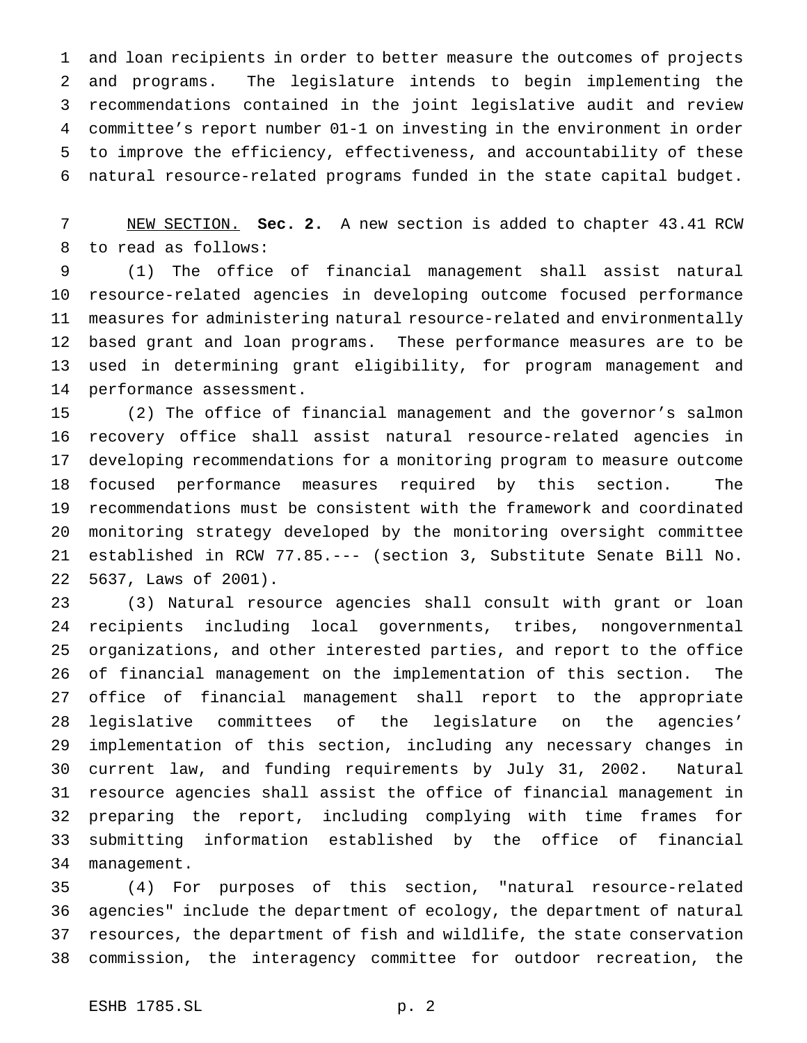and loan recipients in order to better measure the outcomes of projects and programs. The legislature intends to begin implementing the recommendations contained in the joint legislative audit and review committee's report number 01-1 on investing in the environment in order to improve the efficiency, effectiveness, and accountability of these natural resource-related programs funded in the state capital budget.

 NEW SECTION. **Sec. 2.** A new section is added to chapter 43.41 RCW to read as follows:

 (1) The office of financial management shall assist natural resource-related agencies in developing outcome focused performance measures for administering natural resource-related and environmentally based grant and loan programs. These performance measures are to be used in determining grant eligibility, for program management and performance assessment.

 (2) The office of financial management and the governor's salmon recovery office shall assist natural resource-related agencies in developing recommendations for a monitoring program to measure outcome focused performance measures required by this section. The recommendations must be consistent with the framework and coordinated monitoring strategy developed by the monitoring oversight committee established in RCW 77.85.--- (section 3, Substitute Senate Bill No. 5637, Laws of 2001).

 (3) Natural resource agencies shall consult with grant or loan recipients including local governments, tribes, nongovernmental organizations, and other interested parties, and report to the office of financial management on the implementation of this section. The office of financial management shall report to the appropriate legislative committees of the legislature on the agencies' implementation of this section, including any necessary changes in current law, and funding requirements by July 31, 2002. Natural resource agencies shall assist the office of financial management in preparing the report, including complying with time frames for submitting information established by the office of financial management.

 (4) For purposes of this section, "natural resource-related agencies" include the department of ecology, the department of natural resources, the department of fish and wildlife, the state conservation commission, the interagency committee for outdoor recreation, the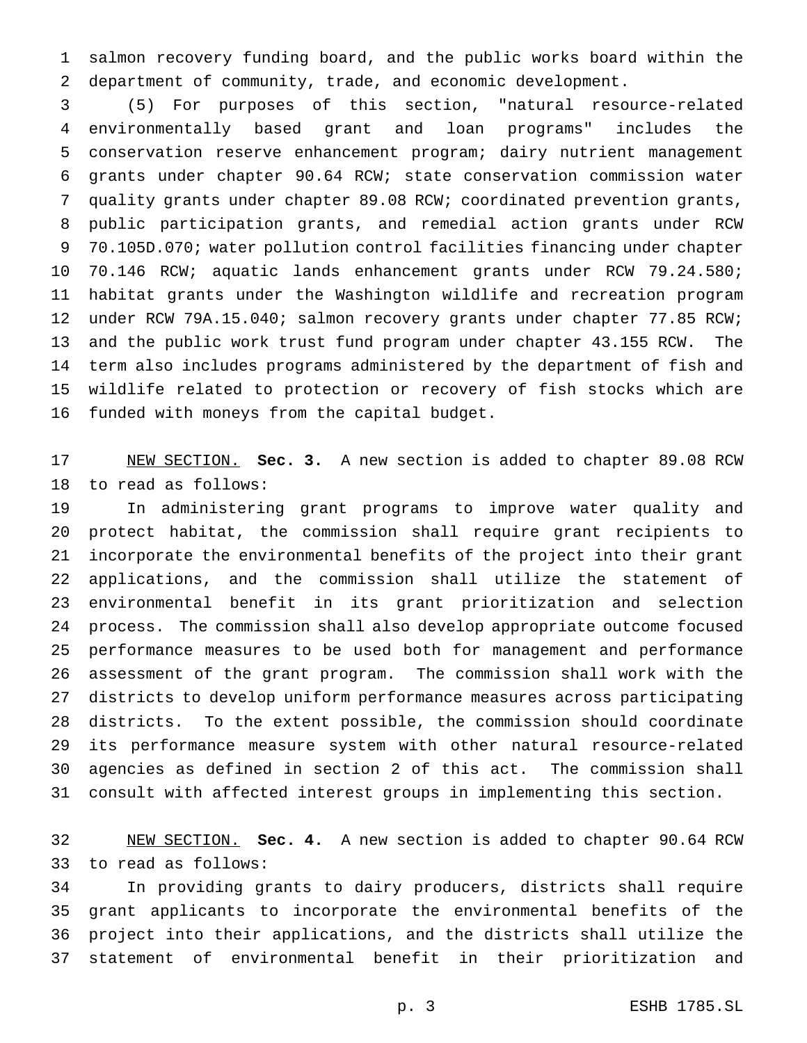salmon recovery funding board, and the public works board within the department of community, trade, and economic development.

 (5) For purposes of this section, "natural resource-related environmentally based grant and loan programs" includes the conservation reserve enhancement program; dairy nutrient management grants under chapter 90.64 RCW; state conservation commission water quality grants under chapter 89.08 RCW; coordinated prevention grants, public participation grants, and remedial action grants under RCW 70.105D.070; water pollution control facilities financing under chapter 70.146 RCW; aquatic lands enhancement grants under RCW 79.24.580; habitat grants under the Washington wildlife and recreation program 12 under RCW 79A.15.040; salmon recovery grants under chapter 77.85 RCW; and the public work trust fund program under chapter 43.155 RCW. The term also includes programs administered by the department of fish and wildlife related to protection or recovery of fish stocks which are funded with moneys from the capital budget.

 NEW SECTION. **Sec. 3.** A new section is added to chapter 89.08 RCW to read as follows:

 In administering grant programs to improve water quality and protect habitat, the commission shall require grant recipients to incorporate the environmental benefits of the project into their grant applications, and the commission shall utilize the statement of environmental benefit in its grant prioritization and selection process. The commission shall also develop appropriate outcome focused performance measures to be used both for management and performance assessment of the grant program. The commission shall work with the districts to develop uniform performance measures across participating districts. To the extent possible, the commission should coordinate its performance measure system with other natural resource-related agencies as defined in section 2 of this act. The commission shall consult with affected interest groups in implementing this section.

 NEW SECTION. **Sec. 4.** A new section is added to chapter 90.64 RCW to read as follows:

 In providing grants to dairy producers, districts shall require grant applicants to incorporate the environmental benefits of the project into their applications, and the districts shall utilize the statement of environmental benefit in their prioritization and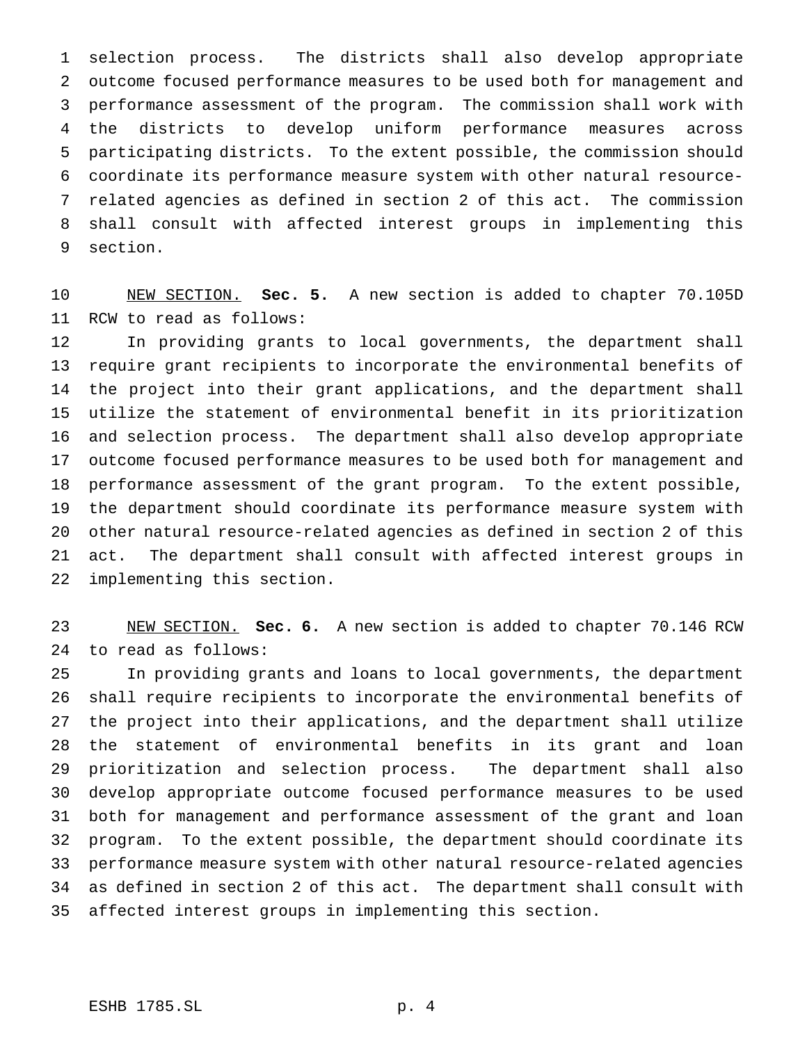selection process. The districts shall also develop appropriate outcome focused performance measures to be used both for management and performance assessment of the program. The commission shall work with the districts to develop uniform performance measures across participating districts. To the extent possible, the commission should coordinate its performance measure system with other natural resource- related agencies as defined in section 2 of this act. The commission shall consult with affected interest groups in implementing this section.

 NEW SECTION. **Sec. 5.** A new section is added to chapter 70.105D RCW to read as follows:

 In providing grants to local governments, the department shall require grant recipients to incorporate the environmental benefits of the project into their grant applications, and the department shall utilize the statement of environmental benefit in its prioritization and selection process. The department shall also develop appropriate outcome focused performance measures to be used both for management and performance assessment of the grant program. To the extent possible, the department should coordinate its performance measure system with other natural resource-related agencies as defined in section 2 of this act. The department shall consult with affected interest groups in implementing this section.

 NEW SECTION. **Sec. 6.** A new section is added to chapter 70.146 RCW to read as follows:

 In providing grants and loans to local governments, the department shall require recipients to incorporate the environmental benefits of the project into their applications, and the department shall utilize the statement of environmental benefits in its grant and loan prioritization and selection process. The department shall also develop appropriate outcome focused performance measures to be used both for management and performance assessment of the grant and loan program. To the extent possible, the department should coordinate its performance measure system with other natural resource-related agencies as defined in section 2 of this act. The department shall consult with affected interest groups in implementing this section.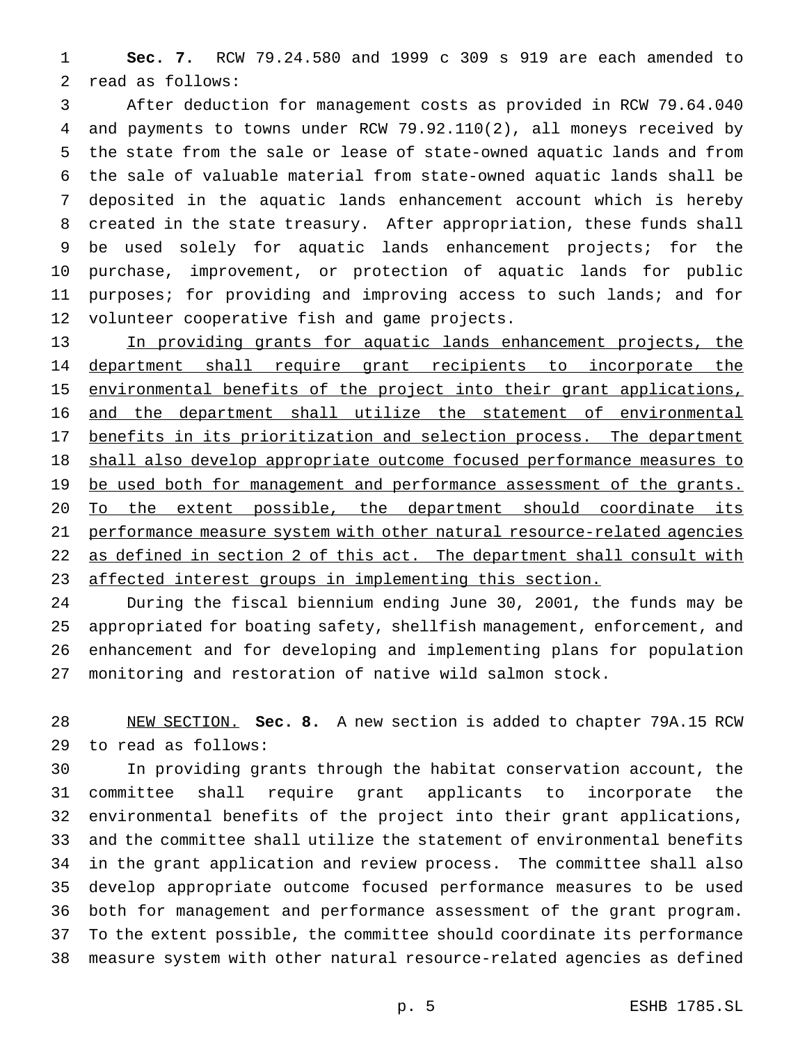**Sec. 7.** RCW 79.24.580 and 1999 c 309 s 919 are each amended to read as follows:

 After deduction for management costs as provided in RCW 79.64.040 and payments to towns under RCW 79.92.110(2), all moneys received by the state from the sale or lease of state-owned aquatic lands and from the sale of valuable material from state-owned aquatic lands shall be deposited in the aquatic lands enhancement account which is hereby created in the state treasury. After appropriation, these funds shall be used solely for aquatic lands enhancement projects; for the purchase, improvement, or protection of aquatic lands for public purposes; for providing and improving access to such lands; and for volunteer cooperative fish and game projects.

 In providing grants for aquatic lands enhancement projects, the 14 department shall require grant recipients to incorporate the environmental benefits of the project into their grant applications, and the department shall utilize the statement of environmental 17 benefits in its prioritization and selection process. The department shall also develop appropriate outcome focused performance measures to 19 be used both for management and performance assessment of the grants. 20 To the extent possible, the department should coordinate its performance measure system with other natural resource-related agencies 22 as defined in section 2 of this act. The department shall consult with 23 affected interest groups in implementing this section.

 During the fiscal biennium ending June 30, 2001, the funds may be appropriated for boating safety, shellfish management, enforcement, and enhancement and for developing and implementing plans for population monitoring and restoration of native wild salmon stock.

 NEW SECTION. **Sec. 8.** A new section is added to chapter 79A.15 RCW to read as follows:

 In providing grants through the habitat conservation account, the committee shall require grant applicants to incorporate the environmental benefits of the project into their grant applications, and the committee shall utilize the statement of environmental benefits in the grant application and review process. The committee shall also develop appropriate outcome focused performance measures to be used both for management and performance assessment of the grant program. To the extent possible, the committee should coordinate its performance measure system with other natural resource-related agencies as defined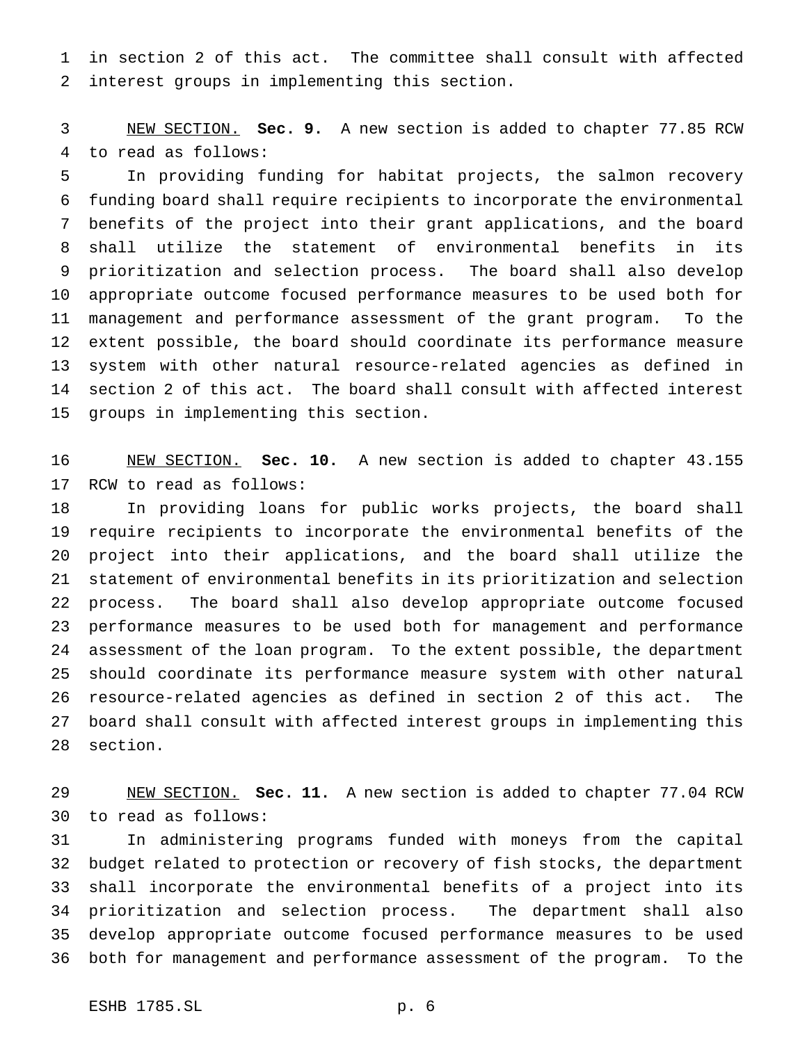in section 2 of this act. The committee shall consult with affected interest groups in implementing this section.

 NEW SECTION. **Sec. 9.** A new section is added to chapter 77.85 RCW to read as follows:

 In providing funding for habitat projects, the salmon recovery funding board shall require recipients to incorporate the environmental benefits of the project into their grant applications, and the board shall utilize the statement of environmental benefits in its prioritization and selection process. The board shall also develop appropriate outcome focused performance measures to be used both for management and performance assessment of the grant program. To the extent possible, the board should coordinate its performance measure system with other natural resource-related agencies as defined in section 2 of this act. The board shall consult with affected interest groups in implementing this section.

 NEW SECTION. **Sec. 10.** A new section is added to chapter 43.155 RCW to read as follows:

 In providing loans for public works projects, the board shall require recipients to incorporate the environmental benefits of the project into their applications, and the board shall utilize the statement of environmental benefits in its prioritization and selection process. The board shall also develop appropriate outcome focused performance measures to be used both for management and performance assessment of the loan program. To the extent possible, the department should coordinate its performance measure system with other natural resource-related agencies as defined in section 2 of this act. The board shall consult with affected interest groups in implementing this section.

 NEW SECTION. **Sec. 11.** A new section is added to chapter 77.04 RCW to read as follows:

 In administering programs funded with moneys from the capital budget related to protection or recovery of fish stocks, the department shall incorporate the environmental benefits of a project into its prioritization and selection process. The department shall also develop appropriate outcome focused performance measures to be used both for management and performance assessment of the program. To the